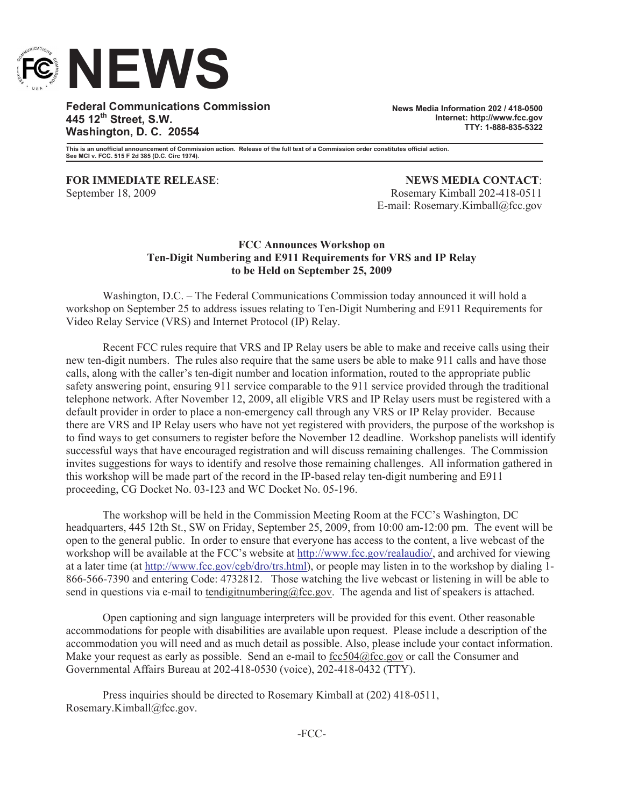

**Federal Communications Commission 445 12th Street, S.W. Washington, D. C. 20554**

**News Media Information 202 / 418-0500 Internet: http://www.fcc.gov TTY: 1-888-835-5322**

**This is an unofficial announcement of Commission action. Release of the full text of a Commission order constitutes official action. See MCI v. FCC. 515 F 2d 385 (D.C. Circ 1974).**

**FOR IMMEDIATE RELEASE**: **NEWS MEDIA CONTACT**: September 18, 2009 Rosemary Kimball 202-418-0511 E-mail: Rosemary.Kimball@fcc.gov

### **FCC Announces Workshop on Ten-Digit Numbering and E911 Requirements for VRS and IP Relay to be Held on September 25, 2009**

Washington, D.C. – The Federal Communications Commission today announced it will hold a workshop on September 25 to address issues relating to Ten-Digit Numbering and E911 Requirements for Video Relay Service (VRS) and Internet Protocol (IP) Relay.

Recent FCC rules require that VRS and IP Relay users be able to make and receive calls using their new ten-digit numbers. The rules also require that the same users be able to make 911 calls and have those calls, along with the caller's ten-digit number and location information, routed to the appropriate public safety answering point, ensuring 911 service comparable to the 911 service provided through the traditional telephone network. After November 12, 2009, all eligible VRS and IP Relay users must be registered with a default provider in order to place a non-emergency call through any VRS or IP Relay provider. Because there are VRS and IP Relay users who have not yet registered with providers, the purpose of the workshop is to find ways to get consumers to register before the November 12 deadline. Workshop panelists will identify successful ways that have encouraged registration and will discuss remaining challenges. The Commission invites suggestions for ways to identify and resolve those remaining challenges. All information gathered in this workshop will be made part of the record in the IP-based relay ten-digit numbering and E911 proceeding, CG Docket No. 03-123 and WC Docket No. 05-196.

The workshop will be held in the Commission Meeting Room at the FCC's Washington, DC headquarters, 445 12th St., SW on Friday, September 25, 2009, from 10:00 am-12:00 pm. The event will be open to the general public. In order to ensure that everyone has access to the content, a live webcast of the workshop will be available at the FCC's website at http://www.fcc.gov/realaudio/, and archived for viewing at a later time (at http://www.fcc.gov/cgb/dro/trs.html), or people may listen in to the workshop by dialing 1- 866-566-7390 and entering Code: 4732812. Those watching the live webcast or listening in will be able to send in questions via e-mail to tendigitnumbering $@$ fcc.gov. The agenda and list of speakers is attached.

Open captioning and sign language interpreters will be provided for this event. Other reasonable accommodations for people with disabilities are available upon request. Please include a description of the accommodation you will need and as much detail as possible. Also, please include your contact information. Make your request as early as possible. Send an e-mail to fcc504@fcc.gov or call the Consumer and Governmental Affairs Bureau at 202-418-0530 (voice), 202-418-0432 (TTY).

Press inquiries should be directed to Rosemary Kimball at (202) 418-0511, Rosemary.Kimball@fcc.gov.